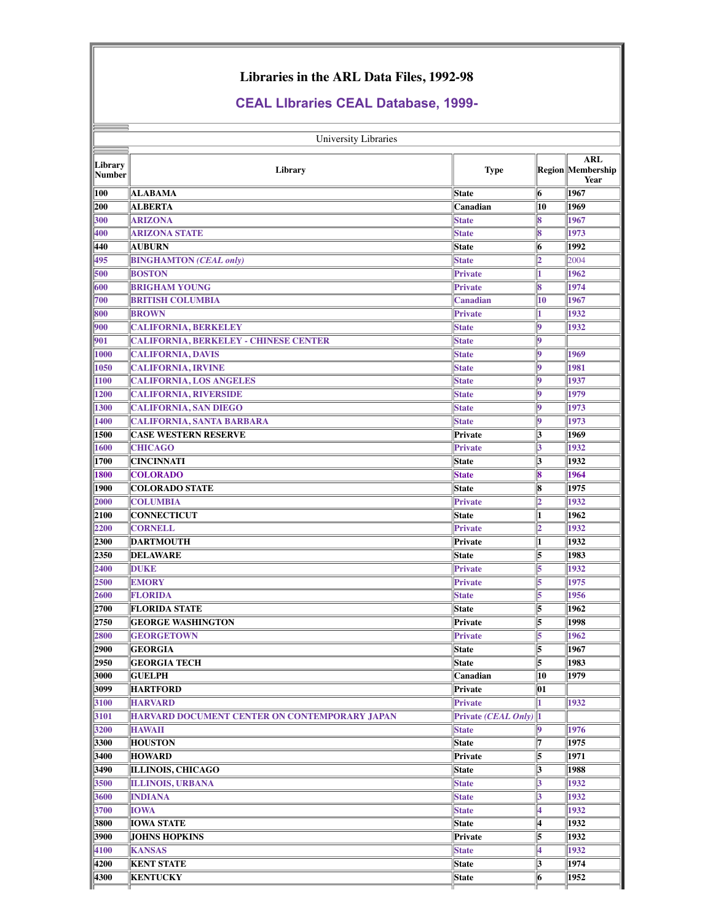## **Libraries in the ARL Data Files, 1992-98**

## **CEAL LIbraries CEAL Database, 1999**

| University Libraries     |                                                      |                                     |          |                                         |  |  |  |  |
|--------------------------|------------------------------------------------------|-------------------------------------|----------|-----------------------------------------|--|--|--|--|
| Library<br><b>Number</b> | Library                                              | <b>Type</b>                         |          | <b>ARL</b><br>Region Membership<br>Year |  |  |  |  |
| 100                      | <b>ALABAMA</b>                                       | State                               | 6        | 1967                                    |  |  |  |  |
| 200                      | <b>ALBERTA</b>                                       | Canadian                            | 10       | 1969                                    |  |  |  |  |
| 300                      | <b>ARIZONA</b>                                       | <b>State</b>                        | 8        | 1967                                    |  |  |  |  |
| 400                      | <b>ARIZONA STATE</b>                                 | <b>State</b>                        | 8        | 1973                                    |  |  |  |  |
| 440                      | <b>AUBURN</b>                                        | <b>State</b>                        | 6        | 1992                                    |  |  |  |  |
| 495                      | <b>BINGHAMTON</b> (CEAL only)                        | <b>State</b>                        | 2        | 2004                                    |  |  |  |  |
| 500                      | <b>BOSTON</b>                                        | <b>Private</b>                      |          | 1962                                    |  |  |  |  |
| 600                      | <b>BRIGHAM YOUNG</b>                                 | <b>Private</b>                      | 8        | 1974                                    |  |  |  |  |
| 700                      | <b>BRITISH COLUMBIA</b>                              | <b>Canadian</b>                     | 10       | 1967                                    |  |  |  |  |
| 800                      | <b>BROWN</b>                                         | <b>Private</b>                      |          | 1932                                    |  |  |  |  |
| 900                      | <b>CALIFORNIA, BERKELEY</b>                          | <b>State</b>                        | 9        | 1932                                    |  |  |  |  |
| 901                      | <b>CALIFORNIA, BERKELEY - CHINESE CENTER</b>         | <b>State</b>                        | 9        |                                         |  |  |  |  |
| 1000                     | <b>CALIFORNIA, DAVIS</b>                             | <b>State</b>                        | 0        | 1969                                    |  |  |  |  |
| 1050                     | <b>CALIFORNIA, IRVINE</b>                            | <b>State</b>                        | 0        | 1981                                    |  |  |  |  |
| 1100                     | <b>CALIFORNIA, LOS ANGELES</b>                       | <b>State</b>                        | l9       | 1937                                    |  |  |  |  |
| 1200                     | <b>CALIFORNIA, RIVERSIDE</b>                         | <b>State</b>                        | 19       | 1979                                    |  |  |  |  |
| 1300                     | <b>CALIFORNIA, SAN DIEGO</b>                         | <b>State</b>                        | g        | 1973                                    |  |  |  |  |
| 1400                     | <b>CALIFORNIA, SANTA BARBARA</b>                     | <b>State</b>                        | 0        | 1973                                    |  |  |  |  |
| 1500                     | <b>CASE WESTERN RESERVE</b>                          | Private                             | 3        | 1969                                    |  |  |  |  |
| 1600                     | <b>CHICAGO</b>                                       | <b>Private</b>                      | 3        | 1932                                    |  |  |  |  |
| 1700                     | <b>CINCINNATI</b>                                    | <b>State</b>                        | 3        | 1932                                    |  |  |  |  |
| 1800                     | <b>COLORADO</b>                                      | <b>State</b>                        | 18       | 1964                                    |  |  |  |  |
| 1900                     | <b>COLORADO STATE</b>                                | <b>State</b>                        | 8        | 1975                                    |  |  |  |  |
| 2000                     | <b>COLUMBIA</b>                                      | Private                             | 2        | 1932                                    |  |  |  |  |
| 2100                     | <b>CONNECTICUT</b>                                   | <b>State</b>                        | 1        | 1962                                    |  |  |  |  |
| 2200                     | <b>CORNELL</b>                                       | Private                             | 2        | 1932                                    |  |  |  |  |
| 2300                     | <b>DARTMOUTH</b>                                     | Private                             | 1        | 1932                                    |  |  |  |  |
| 2350                     | <b>DELAWARE</b>                                      | <b>State</b>                        | 5        | 1983                                    |  |  |  |  |
| 2400                     | <b>DUKE</b>                                          | Private                             | 5        | 1932                                    |  |  |  |  |
| 2500                     | <b>EMORY</b>                                         | <b>Private</b>                      | 5        | 1975                                    |  |  |  |  |
| 2600                     | <b>FLORIDA</b>                                       | <b>State</b>                        | 5        | 1956                                    |  |  |  |  |
| 2700                     | <b>FLORIDA STATE</b>                                 | <b>State</b>                        | 5        | 1962                                    |  |  |  |  |
| 2750                     | <b>GEORGE WASHINGTON</b>                             | Private                             | 15       | 1998                                    |  |  |  |  |
| 2800                     | <b>GEORGETOWN</b>                                    | Private                             | 5        | 1962                                    |  |  |  |  |
| 2900                     | <b>GEORGIA</b>                                       | State                               | 5        | 1967                                    |  |  |  |  |
| 2950                     | <b>GEORGIA TECH</b>                                  | State                               | 5        | 1983                                    |  |  |  |  |
| 3000<br>3099             | <b>GUELPH</b>                                        | Canadian                            | 10<br>01 | 1979                                    |  |  |  |  |
| 3100                     | <b>HARTFORD</b><br><b>HARVARD</b>                    | Private<br>Private                  |          | 1932                                    |  |  |  |  |
|                          | <b>HARVARD DOCUMENT CENTER ON CONTEMPORARY JAPAN</b> |                                     | 11       |                                         |  |  |  |  |
| 3101<br>3200             | <b>HAWAII</b>                                        | Private (CEAL Only)<br><b>State</b> | 9        | 1976                                    |  |  |  |  |
| 3300                     | <b>HOUSTON</b>                                       | State                               | 7        | 1975                                    |  |  |  |  |
| 3400                     | <b>HOWARD</b>                                        | Private                             | 5        | 1971                                    |  |  |  |  |
| 3490                     | <b>ILLINOIS, CHICAGO</b>                             | State                               | 3        | 1988                                    |  |  |  |  |
| 3500                     | <b>ILLINOIS, URBANA</b>                              | <b>State</b>                        | 3        | 1932                                    |  |  |  |  |
| 3600                     | <b>INDIANA</b>                                       | <b>State</b>                        | 3        | 1932                                    |  |  |  |  |
| 3700                     | <b>IOWA</b>                                          | <b>State</b>                        | ₫        | 1932                                    |  |  |  |  |
| 3800                     | <b>IOWA STATE</b>                                    | State                               | 4        | 1932                                    |  |  |  |  |
| 3900                     | <b>JOHNS HOPKINS</b>                                 | Private                             | 5        | 1932                                    |  |  |  |  |
| 4100                     | <b>KANSAS</b>                                        | <b>State</b>                        | 4        | 1932                                    |  |  |  |  |
| 4200                     | <b>KENT STATE</b>                                    | <b>State</b>                        | 3        | 1974                                    |  |  |  |  |
| 4300                     | <b>KENTUCKY</b>                                      | State                               | 6        | 1952                                    |  |  |  |  |
|                          |                                                      |                                     |          |                                         |  |  |  |  |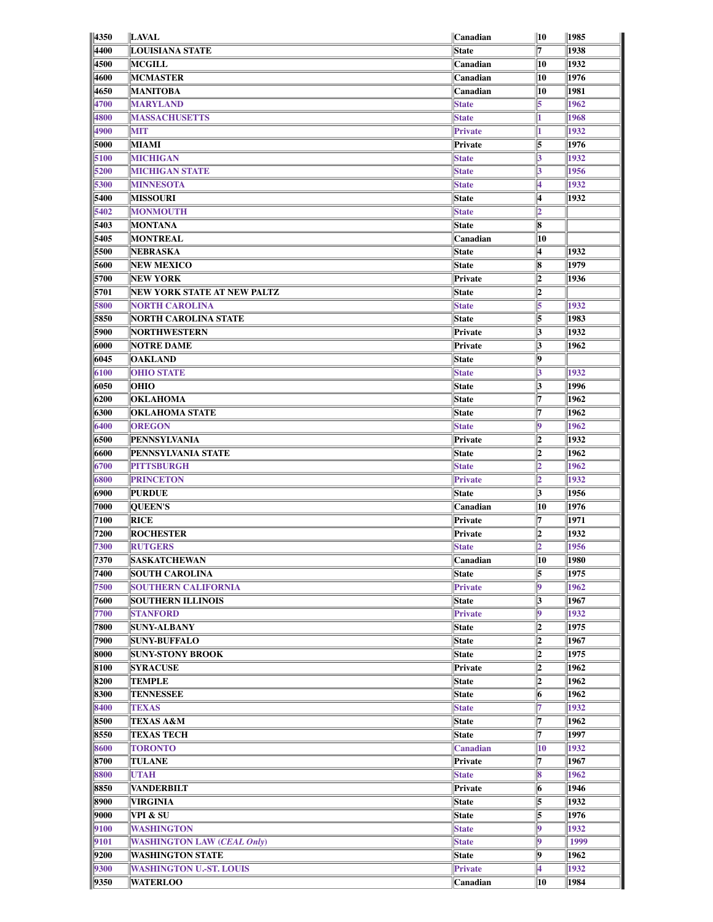| 4350 | <b>LAVAL</b>                      | Canadian        | 10  | 1985 |
|------|-----------------------------------|-----------------|-----|------|
| 4400 | <b>LOUISIANA STATE</b>            | State           | 7   | 1938 |
| 4500 | <b>MCGILL</b>                     | Canadian        | 10  | 1932 |
| 4600 | <b>MCMASTER</b>                   | Canadian        | 10  | 1976 |
| 4650 | <b>MANITOBA</b>                   | Canadian        | 10  | 1981 |
| 4700 | <b>MARYLAND</b>                   | <b>State</b>    | 5   | 1962 |
| 4800 | <b>MASSACHUSETTS</b>              | <b>State</b>    |     | 1968 |
|      |                                   |                 |     |      |
| 4900 | <b>MIT</b>                        | Private         |     | 1932 |
| 5000 | MIAMI                             | Private         | 5   | 1976 |
| 5100 | <b>MICHIGAN</b>                   | <b>State</b>    | 3   | 1932 |
| 5200 | <b>MICHIGAN STATE</b>             | <b>State</b>    | 3   | 1956 |
| 5300 | <b>MINNESOTA</b>                  | <b>State</b>    | 4   | 1932 |
| 5400 | <b>MISSOURI</b>                   | <b>State</b>    | 4   | 1932 |
| 5402 | <b>MONMOUTH</b>                   | <b>State</b>    | 2   |      |
| 5403 | <b>MONTANA</b>                    | <b>State</b>    | 8   |      |
| 5405 | <b>MONTREAL</b>                   | Canadian        | 10  |      |
| 5500 | NEBRASKA                          | <b>State</b>    | 4   | 1932 |
| 5600 | <b>NEW MEXICO</b>                 | <b>State</b>    | 8   | 1979 |
|      |                                   |                 |     |      |
| 5700 | <b>NEW YORK</b>                   | Private         | 2   | 1936 |
| 5701 | NEW YORK STATE AT NEW PALTZ       | State           | 2   |      |
| 5800 | <b>NORTH CAROLINA</b>             | <b>State</b>    | 5   | 1932 |
| 5850 | NORTH CAROLINA STATE              | State           | 5   | 1983 |
| 5900 | <b>NORTHWESTERN</b>               | Private         | 3   | 1932 |
| 6000 | <b>NOTRE DAME</b>                 | Private         | 3   | 1962 |
| 6045 | <b>OAKLAND</b>                    | <b>State</b>    | 9   |      |
| 6100 | <b>OHIO STATE</b>                 | <b>State</b>    | 3   | 1932 |
| 6050 | <b>OHIO</b>                       | <b>State</b>    | 3   | 1996 |
| 6200 | <b>OKLAHOMA</b>                   |                 | 17  | 1962 |
|      |                                   | <b>State</b>    |     |      |
| 6300 | OKLAHOMA STATE                    | <b>State</b>    | 17  | 1962 |
| 6400 | <b>OREGON</b>                     | <b>State</b>    | lg. | 1962 |
| 6500 | PENNSYLVANIA                      | Private         | 2   | 1932 |
| 6600 | PENNSYLVANIA STATE                | State           | 2   | 1962 |
| 6700 | <b>PITTSBURGH</b>                 | <b>State</b>    | 12  | 1962 |
| 6800 | <b>PRINCETON</b>                  | Private         | 12  | 1932 |
| 6900 | <b>PURDUE</b>                     | <b>State</b>    | 3   | 1956 |
| 7000 | <b>QUEEN'S</b>                    | Canadian        | 10  | 1976 |
| 7100 | <b>RICE</b>                       | Private         | 17  | 1971 |
| 7200 | <b>ROCHESTER</b>                  | Private         | 2   | 1932 |
|      |                                   |                 |     |      |
| 7300 | <b>RUTGERS</b>                    | <b>State</b>    | 2   | 1956 |
| 7370 | <b>SASKATCHEWAN</b>               | Canadian        | 10  | 1980 |
| 7400 | <b>SOUTH CAROLINA</b>             | State           | 5   | 1975 |
| 7500 | <b>SOUTHERN CALIFORNIA</b>        | <b>Private</b>  | 19  | 1962 |
| 7600 | <b>SOUTHERN ILLINOIS</b>          | State           | 3   | 1967 |
| 7700 | <b>STANFORD</b>                   | <b>Private</b>  | 19  | 1932 |
| 7800 | <b>SUNY-ALBANY</b>                | State           | 2   | 1975 |
| 7900 | <b>SUNY-BUFFALO</b>               | State           | 2   | 1967 |
| 8000 | <b>SUNY-STONY BROOK</b>           | State           | 2   | 1975 |
| 8100 | <b>SYRACUSE</b>                   | Private         | 2   | 1962 |
|      |                                   |                 |     |      |
| 8200 | <b>TEMPLE</b>                     | <b>State</b>    | 2   | 1962 |
| 8300 | <b>TENNESSEE</b>                  | <b>State</b>    | 6   | 1962 |
| 8400 | <b>TEXAS</b>                      | <b>State</b>    | 7   | 1932 |
| 8500 | <b>TEXAS A&amp;M</b>              | State           | 17  | 1962 |
| 8550 | <b>TEXAS TECH</b>                 | State           | 17  | 1997 |
| 8600 | <b>TORONTO</b>                    | <b>Canadian</b> | 10  | 1932 |
| 8700 | TULANE                            | Private         | 17  | 1967 |
| 8800 | <b>UTAH</b>                       | <b>State</b>    | 8   | 1962 |
| 8850 | <b>VANDERBILT</b>                 | Private         | 6   | 1946 |
| 8900 | VIRGINIA                          | State           | 5   | 1932 |
|      |                                   |                 |     |      |
| 9000 | VPI & SU                          | <b>State</b>    | 5   | 1976 |
| 9100 | <b>WASHINGTON</b>                 | <b>State</b>    | 9   | 1932 |
| 9101 | <b>WASHINGTON LAW (CEAL Only)</b> | <b>State</b>    | 9   | 1999 |
| 9200 | <b>WASHINGTON STATE</b>           | <b>State</b>    | 9   | 1962 |
|      |                                   | <b>Private</b>  | 4   | 1932 |
| 9300 | <b>WASHINGTON U.-ST. LOUIS</b>    |                 |     |      |